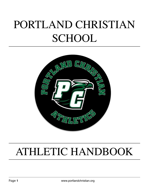# PORTLAND CHRISTIAN **SCHOOL**



## ATHLETIC HANDBOOK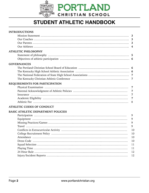

### **STUDENT ATHLETIC HANDBOOK**

| <b>INTRODUCTIONS</b>                                                                                                                                                                                                                                                                                                                                                                                            |                |
|-----------------------------------------------------------------------------------------------------------------------------------------------------------------------------------------------------------------------------------------------------------------------------------------------------------------------------------------------------------------------------------------------------------------|----------------|
|                                                                                                                                                                                                                                                                                                                                                                                                                 |                |
|                                                                                                                                                                                                                                                                                                                                                                                                                 | 3              |
|                                                                                                                                                                                                                                                                                                                                                                                                                 | 3              |
|                                                                                                                                                                                                                                                                                                                                                                                                                 | 4              |
| <b>ATHLETIC PHILOSOPHY</b>                                                                                                                                                                                                                                                                                                                                                                                      |                |
|                                                                                                                                                                                                                                                                                                                                                                                                                 |                |
|                                                                                                                                                                                                                                                                                                                                                                                                                 |                |
| <b>GOVERNANCES</b>                                                                                                                                                                                                                                                                                                                                                                                              |                |
|                                                                                                                                                                                                                                                                                                                                                                                                                 |                |
|                                                                                                                                                                                                                                                                                                                                                                                                                 |                |
|                                                                                                                                                                                                                                                                                                                                                                                                                 |                |
|                                                                                                                                                                                                                                                                                                                                                                                                                 | $\overline{7}$ |
| REQUIREMENTS FOR PARTICIPATION                                                                                                                                                                                                                                                                                                                                                                                  |                |
|                                                                                                                                                                                                                                                                                                                                                                                                                 | $\overline{7}$ |
|                                                                                                                                                                                                                                                                                                                                                                                                                 | $\overline{7}$ |
|                                                                                                                                                                                                                                                                                                                                                                                                                 | $\overline{7}$ |
|                                                                                                                                                                                                                                                                                                                                                                                                                 | $\overline{7}$ |
|                                                                                                                                                                                                                                                                                                                                                                                                                 | 8              |
| ATHLETIC CODES OF CONDUCT                                                                                                                                                                                                                                                                                                                                                                                       |                |
| <b>BASIC ATHLETIC DEPARTMENT POLICIES</b>                                                                                                                                                                                                                                                                                                                                                                       |                |
|                                                                                                                                                                                                                                                                                                                                                                                                                 | 9              |
|                                                                                                                                                                                                                                                                                                                                                                                                                 | 9              |
|                                                                                                                                                                                                                                                                                                                                                                                                                 | 9              |
| $\begin{minipage}{0.5\textwidth} \centering \begin{tabular}{p{0.8cm}p{0.8cm}p{0.8cm}} \hline \textbf{Target} & \textbf{3.9cm} & \textbf{4.9cm} \\ \textbf{3.9cm} & \textbf{4.9cm} & \textbf{5.9cm} \\ \textbf{4.9cm} & \textbf{5.9cm} & \textbf{6.9cm} \\ \textbf{5.9cm} & \textbf{6.9cm} & \textbf{6.9cm} \\ \textbf{7.9cm} & \textbf{8.9cm} & \textbf{9.9cm} \\ \textbf{9.9cm} & \textbf{9.9cm} & \textbf{9.$ | 9              |
|                                                                                                                                                                                                                                                                                                                                                                                                                 | 10             |
|                                                                                                                                                                                                                                                                                                                                                                                                                 | 10             |
|                                                                                                                                                                                                                                                                                                                                                                                                                 | 10             |
|                                                                                                                                                                                                                                                                                                                                                                                                                 | 10             |
|                                                                                                                                                                                                                                                                                                                                                                                                                 | 11             |
|                                                                                                                                                                                                                                                                                                                                                                                                                 | 11             |
|                                                                                                                                                                                                                                                                                                                                                                                                                 | 12             |
|                                                                                                                                                                                                                                                                                                                                                                                                                 | 12             |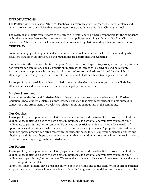#### **INTRODUCTIONS**

The Portland Christian School Athletics Handbook is a reference guide for coaches, student-athletes and parents, concerning the policies that govern interscholastic athletics at Portland Christian School.

The coach of an athletic team reports to the Athletic Director and is primarily responsible for the compliance by his/her team members to the rules, regulations, and policies governing athletics at Portland Christian School. The Athletic Director will administer these rules and regulations as they relate to team and coach relationships.

Sound reasoning, good judgment, and adherence to the school's core values will be the standard by which situations outside these stated rules and regulations are determined and evaluated.

Interscholastic athletics is a voluntary program. Students are not obligated to participate and participation is not required for graduation. Thus, competition in high school athletics is a privilege and not a right. Accompanying this privilege is the responsibility to conform to standards established for the high school athletic program. This privilege may be revoked if the athlete fails or refuses to comply with the rules.

Thank you for your participation in our athletic program. May God bless you as you use your God-given athletic abilities and desire to serve Him in this integral part of school life.

#### **Mission Statement**

The mission of the Portland Christian Athletic Department is to promote an environment for Portland Christian School student-athletes, parents, coaches, and staff that maximizes student-athlete success in competition and strengthens their Christian character on the campus and in the community.

#### **Our Coaches**

Thank you for your support of our athletic program here at Portland Christian School. We are thankful that your child has indicated a desire to participate in interscholastic athletics and you have expressed your willingness to permit him/her to compete. We believe that participation in sports provides a wealth of opportunities and experiences, which assist students in personal adjustments. A properly controlled, wellorganized sports program can often meet with the students' needs for self-expression, mental alertness and physical growth. It is our hope to maintain a program that is sound in purpose and will further each student's educational maturity and growth in Christlikeness.

#### **Our Parents**

Thank you for your support of our athletic program here at Portland Christian School. We are thankful that your child has indicated a desire to participate in interscholastic athletics and you have expressed your willingness to permit him/her to compete. We know that parents sacrifice a lot of resources, time and energy to help support their athlete.

Parents of student athletes have a responsibility to both their child and to the team. Without strong parental support the student athlete will not be able to achieve his/her greatest potential and/or the team may suffer.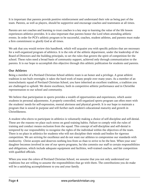It is important that parents provide positive reinforcement and understand their role as being part of the team. Parents, as well as players, should be supportive and encourage coaches and teammates at all times.

Parents are not coaches and learning to trust coaches is a key step to learning the value of the life lesson experiences athletics provides. It is also important that parents honor the Lord when attending athletic events. In order for PCS's athletic program to be successful, coaches, student athletes, and parents must make a firm commitment to glorify God at all times.

We ask that you would review this handbook, which will acquaint you with specific policies that are necessary for a well-organized program of athletics. It is the role of the athletic department, under the leadership of the Board of Directors and the building principals, to set the rules that govern the spirit of competition for the school. These rules need a broad basis of community support, achieved only through communication to the parents. It is our hope to accomplish this objective through this athletic publication for students and parents.

#### **Our Athletes**

Being a member of a Portland Christian School athletic team is an honor and a privilege. A great athletic tradition is not built overnight; it takes the hard work of many people over many years. As a member of an interscholastic squad of Portland Christian School, you have inherited an excellent tradition, a tradition you are challenged to uphold. We desire excellence, both in competitive athletic performance and in Christlike representation to our school and community.

We believe that participation in sports provides a wealth of opportunities and experiences, which assist students in personal adjustments. A properly controlled, well-organized sports program can often meet with the students' needs for self-expression, mental alertness and physical growth. It is our hope to maintain a program that is sound in purpose and will further each student's educational maturity and growth in Christlikeness.

A student who elects to participate in athletics is voluntarily making a choice of self-discipline and self-denial. These are the reasons we place such stress on good training habits. Failure to comply with the rules of training and conduct means exclusion from the squad. This concept of self-discipline and self-denial is tempered by our responsibility to recognize the rights of the individual within the objectives of the team. There is no place in athletics for students who will not discipline their minds and bodies for rigorous competition. We are striving for excellence and do not want our athletes to compromise our standards with mediocrity. Christ accepts and deserves nothing less from us than to strive to be the best. When your son/ daughter becomes involved in one of our sports programs, he/she commits our staff to certain responsibilities and obligations, which include adequate equipment and facilities, well-trained coaches, and fair competition with qualified officials.

When you wear the colors of Portland Christian School, we assume that you not only understand our traditions but are willing to assume the responsibilities that go with them. The contributions you do make will be a satisfying accomplishment to you and your family.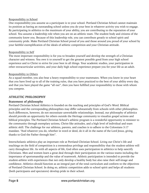#### Responsibility to School

One responsibility you assume as a participant is to your school. Portland Christian School cannot maintain its position as having an outstanding school unless you do your best in whatever activity you wish to engage. By participating in athletics to the maximum of your ability, you are contributing to the reputation of your school. You assume a leadership role when you are on an athletic team. The student body and citizens of the community know you. Because of this leadership role, you can contribute greatly to school spirit and community pride. Make Portland Christian School proud of you and those around you proud of your school by your faithful exemplification of the ideals of athletic competition and your Christian attitude.

#### Responsibility to Self

The most important responsibility is for you to broaden yourself and develop the strength of a Christian character and witness. You owe it to yourself to get the greatest possible good from your high school experience and to Christ to strive for your best in all things. Your academic studies, your participation in other extracurricular activities, and your daily high school experience prepare you for your life as an adult.

#### Responsibility to Others

As a squad member, you also bear a heavy responsibility to your teammates. When you know in your heart that you have lived up to all of the training rules, that you have practiced to the best of your ability every day, and that you have played the game "all out", then you have fulfilled your responsibility to those with whom you compete.

#### **ATHLETIC PHILOSOPHY**

#### **Statement of philosophy**

Portland Christian School Athletics is founded on the teaching and principles of God's Word. Biblical principles and the corresponding philosophies may differ substantially from schools with other philosophies. Such differences, however, do not necessitate unworkable relationships. Instead, our philosophy of athletics should provide an opportunity for others outside the Heritage community to visualize gospel actions and biblical principles. The Portland Christian School's athletic program is a wonderful opportunity to minister to the community through exemplary actions, Christ-like attitudes, and a high level of individual and team athletic skill. The challenge for our athletes, parents, and coaches is to adhere to the Colossians 3:17 mandate. "And whatever you do, whether in word or deed, do it all in the name of the Lord Jesus, giving thanks to God the Father through him".

Interscholastic athletics play an important role at Portland Christian School. Living out Christ's life and teachings on the field of competition is a tremendous privilege and responsibility that the student-athlete will carry throughout life. As with all aspects of life, God often uses participation in athletics to help sanctify Christians. Men and women learn a great deal through their participation on the various teams including the importance of sportsmanship and the value of teamwork. Athletic participation is intended to provide the student-athlete with experiences that not only develop a healthy body but also raise their self-image and confidence. Athletics should function as an integral part of the total curriculum and conform to the objectives of Portland Christian School. In doing so, athletic competition adds to school spirit and helps all students (both participants and spectators) develop pride in their school.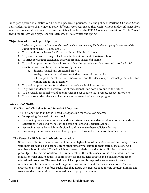Since participation in athletics can be such a positive experience, it is the policy of Portland Christian School that student-athletes shall enjoy as many different sport seasons as they wish without undue influence from any coach to specialize in one sport. At the high school level, the KHSAA offers a prestigious "Triple Threat" award for athletes who play a sport in each season (fall, winter and spring).

#### **Objectives of athletic participation**

- 1. "*Whatever you do, whether in word or deed, do it all in the name of the Lord Jesus, giving thanks to God the Father through him.*" (Colossians 3:17)
- 2. To maintain our witness for Christ and honor Him in all things
- 3. To provide a positive image of school athletics at Portland Christian School
- 4. To strive for athletic excellence that will produce successful teams
- 5. To provide opportunities that will serve as learning experiences that are similar to "real life" situations with emphasis on the following values:
	- a. Physical, mental and emotional growth
	- b. Loyalty, cooperation and teamwork that comes with team play
	- c. Self-discipline, excellence, self-motivation, and the ideals of sportsmanship that allow for winning and losing gracefully
- 6. To provide opportunities for students to experience individual success
- 7. To provide students with worthy use of recreational time both now and in the future
- 8. To be socially responsible and operate within a set of rules that promote respect for others
- 9. To understand the relevance of athletics in the overall educational program

#### **GOVERNANCES**

#### **The Portland Christian School Board of Education**

The Portland Christian School Board is responsible for the following areas:

- Interpreting the needs of the school.
- Developing policies in accordance with state statutes and mandates and in accordance with the educational needs and wishes of the people of Portland Christian School.
- Approving means by which professional staff may make these policies effective.
- Evaluating the interscholastic athletic program in terms of its value to Christ's witness.

#### **The Kentucky High School Athletic Association**

Schools are voluntary members of the Kentucky High School Athletic Association and compete only with member schools and schools from other states who belong to their state association. As a member school, Portland Christian School agrees to abide by and enforce all rules and regulations promulgated by this Association. The primary role of the state association is to maintain rules and regulations that ensure equity in competition for the student athletes and a balance with other educational programs. The association solicits input and is responsive to requests for rule modifications from member schools, appointed committees, and coaches' associations. The state association attempts to enforce such rules that assure the greatest good for the greatest number and to ensure that competition is conducted in an appropriate manner.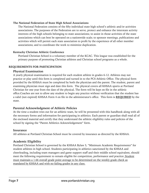#### **The National Federation of State High School Associations**

The National Federation consists of the fifty individual state high school's athletic and/or activities associations. The purposes of the Federation are to serve, protect and enhance the interstate activity interests of the high schools belonging to state associations; to assist in those activities of the state associations which can best be operated on a nationwide scale; to sponsor meetings, publications and activities which will permit each state association to profit by the experience of all other member associations; and to coordinate the work to minimize duplication.

#### **Kentucky Christian Athletic Conference**

Portland Christian School is a voluntary member of the KCAC. This league was established for the primary purpose of promoting Christian athletes and Christian school programs as a whole.

#### **REQUIREMENTS FOR PARTICIPATION**

#### **Physical Examination**

A yearly physical examination is required for each student athlete in grades 6-12. Athletes may not practice or play until this form is completed and turned in to the PCS Athletic Office. The physical form provided by the KHSAA must be completed by both the physician and the parent. The student, parent and examining physician must sign and date this form. The physical covers all KHSAA sports at Portland Christian for one year from the date of the physical. The form will be kept on file in the athletic office.Coaches are not to allow any student to begin any practice without verification that the student has a valid (not expired) KHSAA Form 4 on file in the administrator's office. This form is **REQUIRED** by the state.

#### **Parental Acknowledgment of Athletic Policies**

At the time a student tries out for an athletic team, he will be presented with this handbook along with all the necessary forms and information for participating in athletics. Each parent or guardian shall read all of the enclosed material and certify that they understand the athletic eligibility rules and policies of the school by signing the "Parent Athletics Acknowledgement" form.

#### **Insurance**

All athletes at Portland Christian School must be covered by insurance as directed by the KHSAA.

#### **Academic Eligibility**

Portland Christian School is governed by the KHSAA Bylaw 5, "Minimum Academic Requirements" for student athletes in high school. Students participating in athletics sanctioned by the KHSAA and cheerleading, including team managers and game support staff and their middle school equivalent, should meet the following requirement to remain eligible for competition, performance and practice: Student must maintain a 1.66 overall grade point average to be determined on the weekly grade check as mandated by KHSAA and with no failing grades in any class.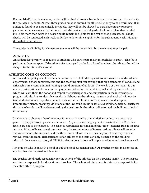For our 7th-12th grade students, grades will be checked weekly beginning with the first day of practice (or the first day of school). At least three grades must be entered for athletic eligibility to be determined. If an athlete is found to be academically ineligible, they will not be allowed to participate in any practices, games or athletic events with their team until the next successful grade check. An athlete that is ruled ineligible more than twice in a season could remain ineligible for the rest of that given season. Grade checks will be conducted each week on Friday to determine eligibility for the subsequent week (Monday through Sunday period).

The academic eligibility for elementary students will be determined by the elementary principals.

#### **Athletic Fee**

An athletic fee (*per sport)* is required of students who participate in any interscholastic sport. This fee is paid per athlete per sport. If the athletic fee is not paid by the first day of practices, the athletic fee will be charged to the student's account.

#### **ATHLETIC CODE OF CONDUCT**

A firm and fair policy of enforcement is necessary to uphold the regulations and standards of the athletic department. School administrators and the coaching staff feel strongly that high standards of conduct and citizenship are essential in maintaining a sound program of athletics. The welfare of the student is our major consideration and transcends any other consideration. All athletes shall abide by a code of ethics which will earn them the honor and respect that participation and competition in the interscholastic program affords. Any conduct that results in dishonor to the athlete, the team or the school will not be tolerated. Acts of unacceptable conduct, such as, but not limited to theft, vandalism, disrespect, immorality, violence, profanity, violations of the law could result in athletic disciplinary action. Penalty for this type of conduct will be determined by the head coach, the athletic director and the building principal if necessary.

Coaches are to observe a "zero" tolerance for unsportsmanlike or unchristian conduct in a practice or game. This applies to all players and coaches. Any actions or language not consistent with a Christian athlete are not to be tolerated. The coach is responsible for explaining the "zero" tolerance rule at the first practice. Minor offenses constitute a warning, the second minor offense or serious offense will require that consequences be enforced, and the third minor offense or a serious flagrant offense may result in removal from the team. Reinstatement of an athlete to the team can only be made by the building principal. In a game situation, all KHSAA rules and regulations will apply to athletes and coaches as well.

Any student who is on an in-school or out-of-school suspension can NOT practice or play in a contest on any day that the suspension is in effect.

The coaches are directly responsible for the actions of the athletes on their specific teams. The principals are directly responsible for the actions of coaches. The school administrator is ultimately responsible for the entire athletic program.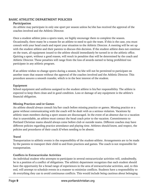#### **BASIC ATHLETIC DEPARTMENT POLICIES**

#### **Participation**

An athlete may participate in only one sport per season unless he/she has received the approval of the coaches involved and the Athletic Director.

Once a student athlete joins a sports team, we highly encourage them to complete the season. Occasionally, there many be a reason for an athlete to need to quit the team. If this is the case, you must consult with your head coach and report your situation to the Athletic Director. A meeting will be set up with the student athlete and their parents to discuss this decision. If the student athlete does not continue on the team, all equipment issued to the athlete should immediately be turned in to the athletic office. Quitting a sport, without a good reason, will result in penalties that will be determined by the coach and Athletic Director. These penalties will range from the loss of awards earned to being prohibited too participate in any athletic program.

If an athlete wishes to change sports during a season, he/she will not be permitted to participate on another team that season without the approval of the coaches involved and the Athletic Director. This procedure assures a smooth transfer, which is in the best interest of the student.

#### **Equipment**

School equipment and uniforms assigned to the student athlete is his/her responsibility. The athlete is expected to keep them clean and in good condition. Loss or damage of any equipment is the athlete's financial obligation.

#### **Missing Practices and/or Games**

An athlete should always consult his/her coach before missing practice or games. Missing practice or a game without communicating with the coach will be dealt with as a serious violation. Vacations by athletic team members during a sport season are discouraged. In the event of an absence due to a vacation that is unavoidable, an athlete must contact the head coach prior to the vacation. Commitments to Portland Christian teams should always come before club or outside teams. Different coaches may have different policies regarding practice attendance and playing time. Athletes should know, and respect, the policies and procedures of their coach if/when needing to be absent.

#### **Travel**

Transportation to athletic events is the responsibility of the student-athlete. Arrangements are to be made by the parents to transport their child to and from practices and games. The coach is not responsible for transportation.

#### **Conflicts in Extracurricular Activities**

An individual student who attempts to participate in several extracurricular activities will, undoubtedly, be in a position of a conflict of obligations. The athletic department recognizes that each student should have the opportunity for a broad range of experiences in the area of extracurricular activities, and, to this end, will attempt to schedule events in a manner to minimize conflicts. Students have a responsibility to do everything they can to avoid continuous conflicts. This would include being cautious about belonging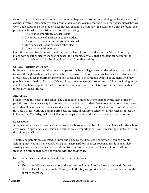to too many activities where conflicts are bound to happen. It also means notifying the faculty sponsors/ coaches involved immediately when a conflict does arise. When a conflict arises the sponsors/coaches will work out a solution so the student does not feel caught in the middle. If a solution cannot be found, the principal will make the decision based on the following:

- 1. The relative importance of each event.
- 2. The importance of each event to the student.
- 3. The relative contribution the student can make.
- 4. How long each event has been scheduled.
- 5. Consultation with parents.

Once the decision has been made and the student has followed that decision, he/she will not be penalized in any way by either faculty sponsor or coach. If it becomes obvious that a student cannot fulfill the obligation of a school activity, he should withdraw from that activity.

#### **College Recruitment Policy**

In the event an athlete should be contacted personally by a college recruiter, the athlete has an obligation to work through his/her coach and the athletic department. Inform your coach of such a contact as soon as possible. College recruitment information is available in the Athletic Office. For students who may possibly be recruited to play at an NCAA school, there are specific procedures to follow beginning in the athlete's sophomore year. The school counselor, academic dean or athletic director may provide this information to an athlete.

#### **Attendance**

Students who miss part of the school day due to illness must be in attendance by the start of the 5th period class to be able to play in a contest or to practice on that date. Students missing school for reasons other than illness must have an excused absence in order to participate. Final authority for infractions of this rule will rest with the building principal. Students absent from school on Friday with a contest the following day (Saturday) will be eligible to participate provided the absence is an excused absence.

#### **Dress Code**

A member of an athletic team is expected to be well-groomed and be fully in compliance with the school dress code. Appearance, expression and actions are all important parts of representing athletes, the team, the school and Christ.

Athletes and parents are expected to know and abide by the dress code policy for all athletic events including practices and home and away games. Disregard for the dress code may result in an athlete missing a practice or game and can result in dismissal from the team. Athletes will not be allowed to practice in clothing that does not comply with the dress code.

The expectations for student athlete dress code are as follows:

Shirts

- Shirts should have sleeves or cover the entire shoulder and not be loose underneath the arm.
- Cut off sleeveless shirts are NOT acceptable (for boys or girls) when they expose any part of the chest or stomach.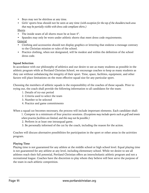- Boys may not be shirtless at any time.
- Girls' sports bras should not be seen at any time *(with exception for the top of the shoulders/neck area that may be partially visible with dress code compliant shirts.)*

#### Shorts

- The inside seam of all shorts must be at least 4".
- Spandex may only be worn under athletic shorts that meet dress code requirements. **General**
- Clothing and accessories should not display graphics or lettering that endorse a message contrary to the Christian mission or rules of the school.
- Practice clothing, when not designated, will be modest and within the definition of the school dress code.

#### **Squad Selection**

In accordance with our philosophy of athletics and our desire to see as many students as possible in the athletic program while at Portland Christian School, we encourage coaches to keep as many students as they can without unbalancing the integrity of their sport. Time, space, facilities, equipment, and other factors will place limitations on the most effective squad size for any particular sport.

Choosing the members of athletic squads is the responsibility of the coaches of those squads. Prior to trying out, the coach shall provide the following information to all candidates for the team:

- 1. Details of try-out period
- 2. Criteria used to select the team
- 3. Number to be selected
- 4. Practice and game commitments

When a squad cut becomes necessary, the process will include important elements. Each candidate shall:

1. Compete in a minimum of four practice sessions. *(Exceptions may include sports such as golf and tennis where practice facilities are limited, and this may not be possible.)*

- 2. Perform in at least one intrasquad game.
- 3. Be personally informed of the cut by the coach, including the reason for the action.

Coaches will discuss alternative possibilities for participation in the sport or other areas in the activities program.

#### **Playing Time**

Playing time is not guaranteed for any athlete at the middle school or high school level. Equal playing time is not guaranteed for any athlete at any level, including elementary school. While we desire to see all athletes reach their full potential, Portland Christian offers an interscholastic athletic program and not a recreational league. Coaches have the discretion to play whom they believe will best serve the purpose of the team in each athletic competition.